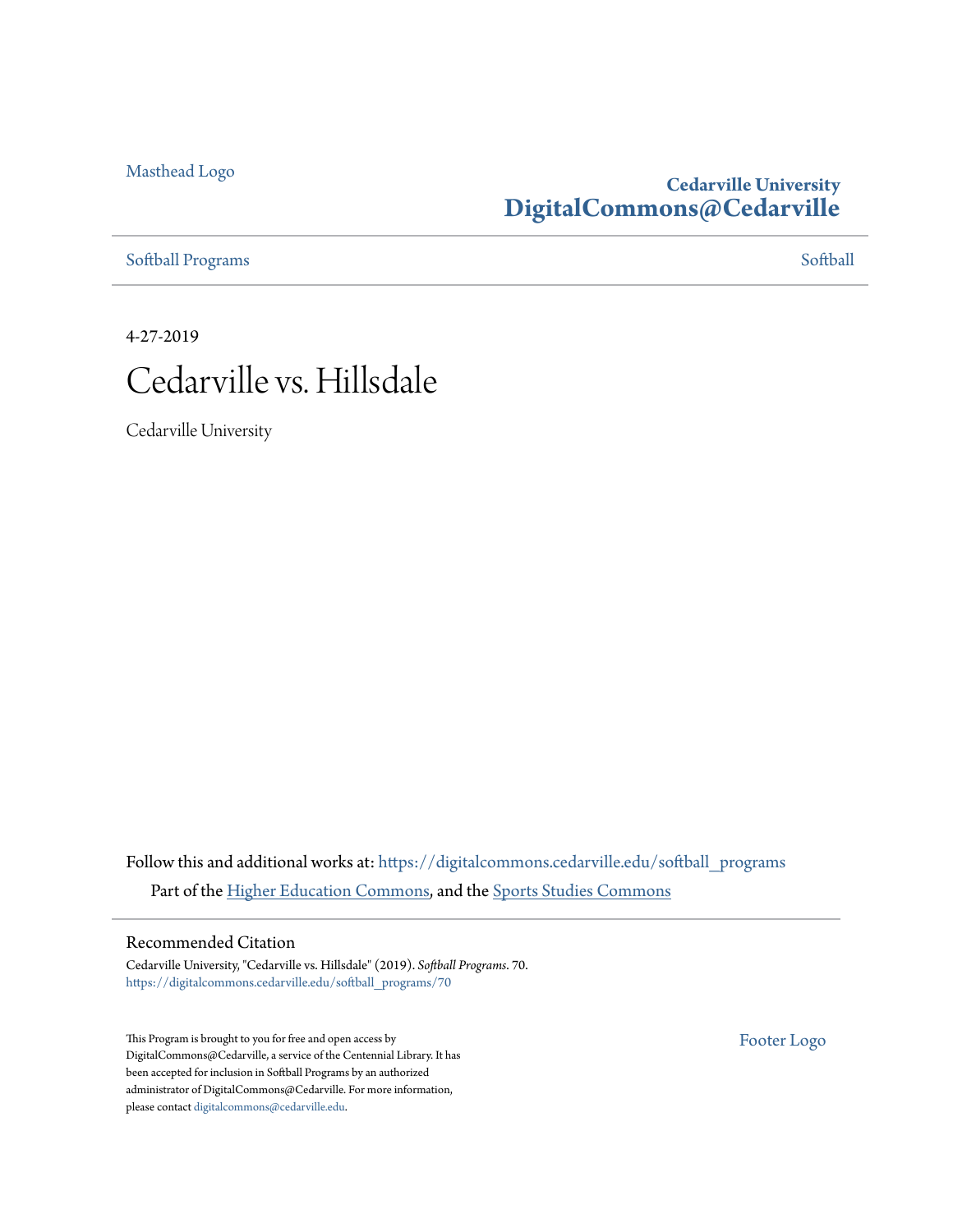#### [Masthead Logo](http://www.cedarville.edu/?utm_source=digitalcommons.cedarville.edu%2Fsoftball_programs%2F70&utm_medium=PDF&utm_campaign=PDFCoverPages)

## **Cedarville University [DigitalCommons@Cedarville](https://digitalcommons.cedarville.edu?utm_source=digitalcommons.cedarville.edu%2Fsoftball_programs%2F70&utm_medium=PDF&utm_campaign=PDFCoverPages)**

[Softball Programs](https://digitalcommons.cedarville.edu/softball_programs?utm_source=digitalcommons.cedarville.edu%2Fsoftball_programs%2F70&utm_medium=PDF&utm_campaign=PDFCoverPages) [Softball](https://digitalcommons.cedarville.edu/softball?utm_source=digitalcommons.cedarville.edu%2Fsoftball_programs%2F70&utm_medium=PDF&utm_campaign=PDFCoverPages) Programs Softball Programs Softball Programs Softball Softball Softball Softball Softball Softball Softball Softball Softball Softball Softball Softball Softball Softball Softball Softball Softba

4-27-2019



Cedarville University

Follow this and additional works at: [https://digitalcommons.cedarville.edu/softball\\_programs](https://digitalcommons.cedarville.edu/softball_programs?utm_source=digitalcommons.cedarville.edu%2Fsoftball_programs%2F70&utm_medium=PDF&utm_campaign=PDFCoverPages) Part of the [Higher Education Commons](http://network.bepress.com/hgg/discipline/1245?utm_source=digitalcommons.cedarville.edu%2Fsoftball_programs%2F70&utm_medium=PDF&utm_campaign=PDFCoverPages), and the [Sports Studies Commons](http://network.bepress.com/hgg/discipline/1198?utm_source=digitalcommons.cedarville.edu%2Fsoftball_programs%2F70&utm_medium=PDF&utm_campaign=PDFCoverPages)

#### Recommended Citation

Cedarville University, "Cedarville vs. Hillsdale" (2019). *Softball Programs*. 70. [https://digitalcommons.cedarville.edu/softball\\_programs/70](https://digitalcommons.cedarville.edu/softball_programs/70?utm_source=digitalcommons.cedarville.edu%2Fsoftball_programs%2F70&utm_medium=PDF&utm_campaign=PDFCoverPages)

This Program is brought to you for free and open access by DigitalCommons@Cedarville, a service of the Centennial Library. It has been accepted for inclusion in Softball Programs by an authorized administrator of DigitalCommons@Cedarville. For more information, please contact [digitalcommons@cedarville.edu.](mailto:digitalcommons@cedarville.edu)

[Footer Logo](http://www.cedarville.edu/Academics/Library.aspx?utm_source=digitalcommons.cedarville.edu%2Fsoftball_programs%2F70&utm_medium=PDF&utm_campaign=PDFCoverPages)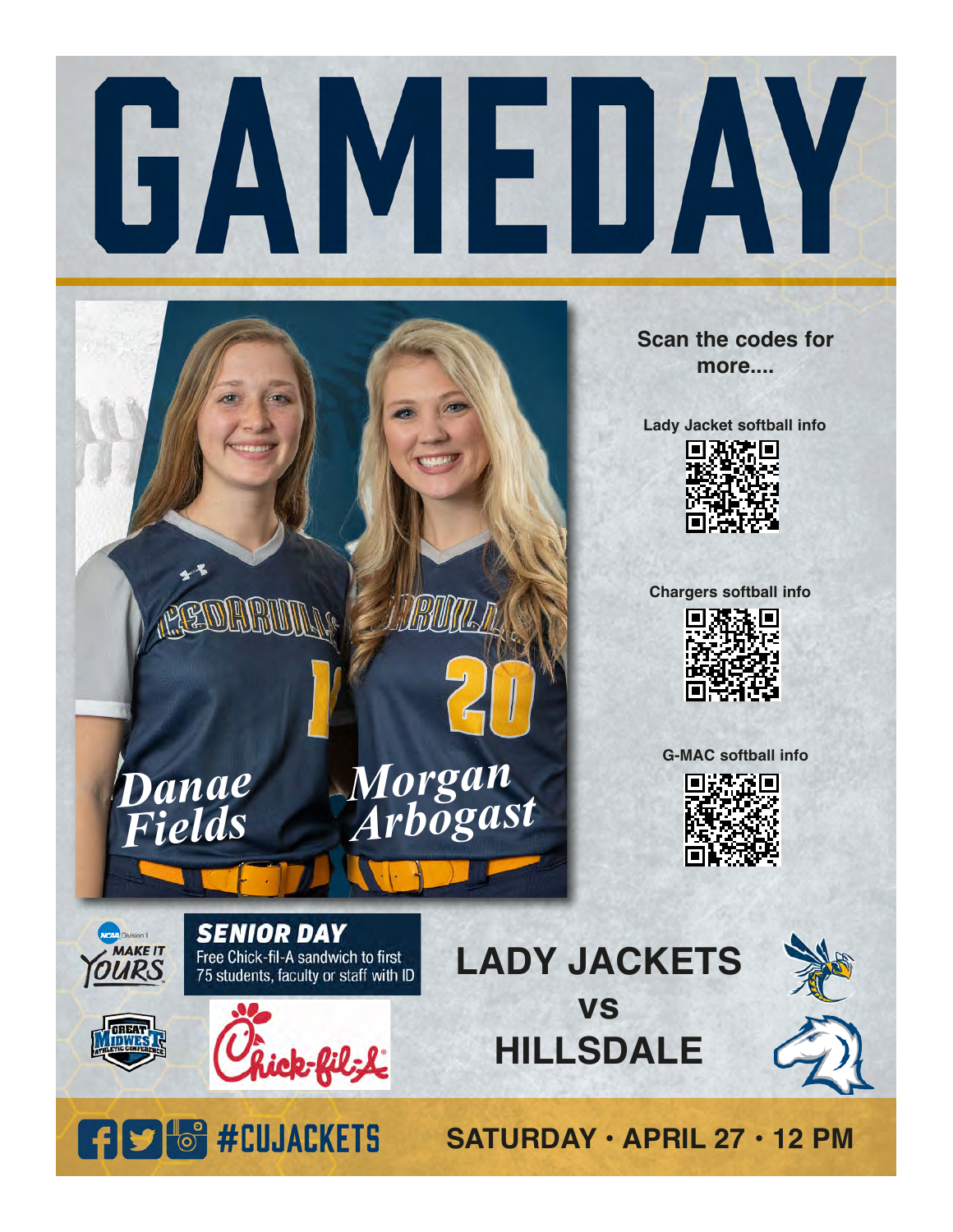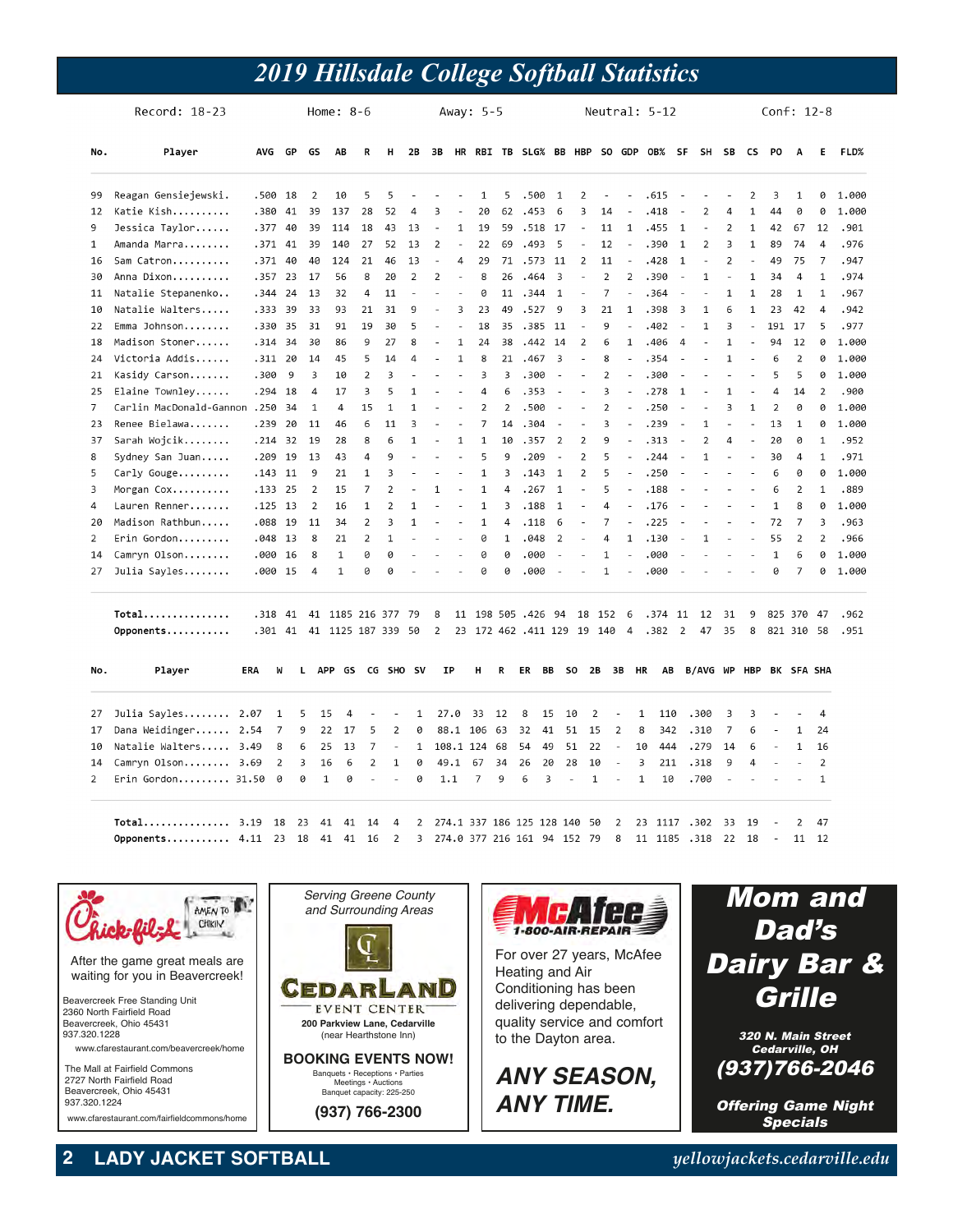## *2019 Hillsdale College Softball Statistics*

|                | Record: 18-23                |            |                | Home: $8-6$         |              |     |                    |                |                          | Away: 5-5                     |                          |                |                         |                              |                |                         | Neutral: 5-12  |                          |                          |                               |                          |                         |                          | Conf: $12-8$             |                          |                |                |       |  |
|----------------|------------------------------|------------|----------------|---------------------|--------------|-----|--------------------|----------------|--------------------------|-------------------------------|--------------------------|----------------|-------------------------|------------------------------|----------------|-------------------------|----------------|--------------------------|--------------------------|-------------------------------|--------------------------|-------------------------|--------------------------|--------------------------|--------------------------|----------------|----------------|-------|--|
| No.            | Player                       | AVG        |                | GP<br>GS            |              | AB  | R                  | н              | 2B                       | 3B                            | <b>HR</b>                |                |                         |                              |                |                         |                |                          |                          | RBI TB SLG% BB HBP SO GDP OB% | SF                       | SH                      | SB                       | <b>CS</b>                | P <sub>0</sub>           | A              | E              | FLD%  |  |
| 99             | Reagan Gensiejewski.         |            | .500 18        | $\overline{2}$      |              | 10  | 5                  | 5              |                          |                               |                          | 1              | 5                       | .500                         |                | $\mathbf{1}$            | 2              | $\overline{\phantom{a}}$ |                          | .615                          | ÷.                       |                         |                          | $\overline{2}$           | 3                        | 1              | 0              | 1.000 |  |
| 12             | Katie Kish                   |            | .380 41        | 39                  |              | 137 | 28                 | 52             | 4                        | 3                             |                          | 20             | 62                      | .453                         |                | 6                       | 3              | 14                       |                          | .418                          |                          | $\overline{2}$          | 4                        | $\mathbf{1}$             | 44                       | 0              | 0              | 1.000 |  |
| 9              | Jessica Taylor               | .377       | 40             | 39                  |              | 114 | 18                 | 43             | 13                       | ÷,                            | $\mathbf{1}$             | 19             | 59                      |                              | .518 17        |                         | $\sim$         | 11                       | $\mathbf{1}$             | .455                          | 1                        | ÷,                      | $\overline{2}$           | $\mathbf 1$              | 42                       | 67             | 12             | .901  |  |
| 1              | Amanda Marra                 |            | $.371$ 41      | 39                  |              | 140 | 27                 | 52             | 13                       | $\overline{2}$                |                          | 22             | 69                      | .493                         |                | 5                       |                | 12                       | $\bar{a}$                | .390                          | $\mathbf{1}$             | $\overline{2}$          | 3                        | $\mathbf 1$              | 89                       | 74             | $\overline{4}$ | .976  |  |
| 16             | Sam Catron                   | .371       |                | 40<br>40            |              | 124 | 21                 | 46             | 13                       | ÷,                            | 4                        | 29             | 71                      | .573                         |                | 11                      | $\overline{2}$ | 11                       | ٠                        | .428                          | 1                        |                         | $\mathfrak{p}$           | ä,                       | 49                       | 75             | $\overline{7}$ | .947  |  |
| 30             | Anna Dixon                   |            | $.357$ 23      | 17                  |              | 56  | 8                  | 20             | $\overline{2}$           | $\overline{2}$                | $\overline{\phantom{a}}$ | 8              | 26                      | .464                         |                | $\overline{\mathbf{3}}$ | $\overline{a}$ | $\overline{2}$           | $\overline{2}$           | .390                          | $\overline{a}$           | $\mathbf 1$             | $\overline{\phantom{a}}$ | $\mathbf 1$              | 34                       | $\overline{4}$ | $\mathbf 1$    | .974  |  |
| 11             | Natalie Stepanenko           | .344       |                | 24<br>13            |              | 32  | 4                  | 11             | ä,                       | ä,                            |                          | 0              | 11                      | .344                         |                | $\mathbf{1}$            | ÷,             | $\overline{7}$           |                          | .364                          |                          |                         | 1                        | 1                        | 28                       | 1              | $\mathbf{1}$   | .967  |  |
| 10             | Natalie Walters              | .333       |                | 39<br>33            |              | 93  | 21                 | 31             | 9                        | ÷,                            | 3                        | 23             | 49                      | .527                         |                | 9                       | 3              | 21                       | $\mathbf{1}$             | .398                          | $\overline{\mathbf{3}}$  | $\mathbf{1}$            | 6                        | 1                        | 23                       | 42             | $\overline{4}$ | .942  |  |
| 22             | Emma Johnson                 | .330       | - 35           | 31                  |              | 91  | 19                 | 30             | 5                        | $\overline{\phantom{a}}$      | ÷,                       | 18             | 35                      | .385                         | 11             |                         | L,             | 9                        |                          | .402                          |                          | $\mathbf 1$             | 3                        | $\overline{\phantom{a}}$ | 191                      | 17             | 5              | .977  |  |
| 18             | Madison Stoner               | .314       |                | 34<br>30            |              | 86  | 9                  | 27             | 8                        |                               | $\mathbf{1}$             | 24             | 38                      | .442                         | 14             |                         | 2              | 6                        | $\mathbf{1}$             | .406                          | $\overline{4}$           |                         | $\mathbf{1}$             | L,                       | 94                       | 12             | 0              | 1.000 |  |
| 24             | Victoria Addis               | .311       |                | 20<br>14            |              | 45  | 5                  | 14             | 4                        | ä,                            | $\mathbf{1}$             | 8              | 21                      | .467                         |                | $\overline{3}$          | J.             | 8                        | $\sim$                   | .354                          | ÷.                       | ä,                      | $\mathbf{1}$             | ä,                       | 6                        | $\overline{2}$ | 0              | 1.000 |  |
| 21             | Kasidy Carson                | .300       |                | 9<br>$\overline{3}$ |              | 10  | $\overline{2}$     | 3              | $\overline{\phantom{a}}$ | ÷,                            | ä,                       | 3              | $\overline{\mathbf{3}}$ | .300                         |                | ä,                      | L,             | $\overline{2}$           | $\overline{\phantom{a}}$ | .300                          | $\overline{a}$           |                         |                          | ÷,                       | 5                        | 5              | 0              | 1.000 |  |
| 25             | Elaine Townley               | .294       | 18             | $\overline{4}$      |              | 17  | 3                  | 5              | 1                        |                               |                          | 4              | 6                       | .353                         |                |                         |                | 3                        |                          | .278                          | 1                        |                         | 1                        |                          | 4                        | 14             | 2              | .900  |  |
| $\overline{7}$ | Carlin MacDonald-Gannon .250 |            | 34             | $\mathbf 1$         |              | 4   | 15                 | $\mathbf 1$    | $\mathbf{1}$             |                               | ä,                       | $\overline{2}$ | $\overline{2}$          | .500                         |                | ÷,                      |                | $\overline{2}$           |                          | .250                          | $\overline{a}$           |                         | 3                        | $\mathbf 1$              | $\overline{2}$           | 0              | 0              | 1.000 |  |
| 23             | Renee Bielawa                | .239       | 20             | 11                  |              | 46  | 6                  | 11             | 3                        | ä,                            | ä,                       | $\overline{7}$ | 14                      | .304                         |                | ÷,                      | J.             | 3                        |                          | .239                          | $\sim$                   | $\mathbf{1}$            | ä,                       | ÷,                       | 13                       | $\mathbf{1}$   | 0              | 1.000 |  |
| 37             | Sarah Wojcik                 | .214       |                | 32<br>19            |              | 28  | 8                  | 6              | $\mathbf{1}$             |                               | $\mathbf{1}$             | $\mathbf{1}$   | 10                      | .357                         |                | $\overline{2}$          | $\overline{2}$ | 9                        |                          | .313                          | $\overline{a}$           | $\overline{2}$          | 4                        | ä,                       | 20                       | 0              | $\mathbf{1}$   | .952  |  |
| 8              | Sydney San Juan              | .209       | 19             | 13                  |              | 43  | 4                  | 9              |                          | ÷.                            | $\overline{a}$           | 5              | 9                       | .209                         |                | ÷.                      | $\overline{2}$ | 5                        |                          | .244                          | $\overline{a}$           | $\mathbf{1}$            |                          | $\overline{a}$           | 30                       | $\overline{4}$ | $\mathbf{1}$   | .971  |  |
| 5              | Carly Gouge                  |            | $.143$ 11      | 9                   |              | 21  | $\mathbf 1$        | 3              |                          | ÷,                            | ÷,                       | $\mathbf 1$    | $\overline{\mathbf{3}}$ | .143                         |                | $\mathbf{1}$            | $\overline{2}$ | 5                        |                          | .250                          | $\sim$                   |                         | ÷,                       | $\overline{\phantom{a}}$ | 6                        | 0              | 0              | 1.000 |  |
| 3              | Morgan Cox                   |            | $.133$ 25      | 2                   |              | 15  | $\overline{7}$     | $\overline{2}$ |                          | $\mathbf{1}$                  | ä,                       | $\mathbf{1}$   | 4                       | .267                         |                | $\mathbf{1}$            | ä,             | 5                        |                          | .188                          |                          |                         |                          |                          | 6                        | 2              | 1              | .889  |  |
| 4              | Lauren Renner                |            | $.125$ 13      | $\overline{2}$      |              | 16  | $\mathbf 1$        | $\overline{2}$ | 1                        | ä,                            | ÷,                       | $\mathbf 1$    | $\overline{\mathbf{3}}$ | .188                         |                | $\mathbf{1}$            | L,             | 4                        |                          | .176                          |                          |                         |                          | ä,                       | $\mathbf{1}$             | 8              | 0              | 1.000 |  |
| 20             | Madison Rathbun              |            | .088 19        | 11                  |              | 34  | $\overline{2}$     | 3              | $\mathbf{1}$             | $\overline{a}$                | $\overline{\phantom{a}}$ | $\mathbf{1}$   | 4                       | .118                         |                | 6                       | $\overline{a}$ | 7                        |                          | .225                          | $\overline{\phantom{a}}$ |                         |                          | $\overline{a}$           | 72                       | $\overline{7}$ | $\overline{3}$ | .963  |  |
| 2              | Erin Gordon                  |            | $.048$ 13      | 8                   |              | 21  | $\overline{2}$     | $\mathbf 1$    |                          |                               | ÷,                       | 0              | $\mathbf 1$             | .048                         |                | $\overline{2}$          |                | 4                        | $\mathbf{1}$             | .130                          | $\sim$                   | $\mathbf{1}$            |                          |                          | 55                       | $\overline{2}$ | $\overline{2}$ | .966  |  |
| 14             | Camryn Olson                 | .000       | 16             | 8                   |              | 1   | 0                  | 0              |                          |                               | ä,                       | 0              | 0                       | .000                         |                | L.                      | J.             | $\mathbf{1}$             |                          | .000                          |                          |                         |                          | ä,                       | $\mathbf{1}$             | 6              | 0              | 1.000 |  |
| 27             | Julia Sayles                 |            | .000 15        | $\overline{4}$      |              | 1   | 0                  | 0              |                          |                               |                          | 0              | 0                       | .000                         |                | J.                      |                | 1                        | $\overline{\phantom{a}}$ | .000                          |                          |                         |                          |                          | 0                        | $\overline{7}$ | 0              | 1.000 |  |
|                | Total                        |            | .318 41        |                     |              |     | 41 1185 216 377    |                | 79                       | 8                             |                          |                |                         | 11 198 505 .426 94           |                |                         |                | 18 152                   | 6                        | .374                          | 11                       | 12                      | 31                       | 9                        |                          | 825 370 47     |                | .962  |  |
|                | Opponents                    |            | .301 41        |                     |              |     | 41 1125 187 339 50 |                |                          | $\overline{2}$                |                          |                |                         | 23 172 462 .411 129          |                |                         |                | 19 140                   | $\overline{4}$           | .382                          | $\overline{2}$           | 47                      | 35                       | 8                        |                          | 821 310 58     |                | .951  |  |
| No.            | Player                       | <b>ERA</b> | W              | L.                  | APP GS       |     |                    |                | CG SHO SV                | IP                            |                          | н              | R                       | ER                           | BB             | SO -                    |                | 2B                       | зв                       | HR<br>AB                      |                          | B/AVG WP HBP BK SFA SHA |                          |                          |                          |                |                |       |  |
| 27             | Julia Sayles                 | 2.07       | 1              | 5                   | 15           | 4   |                    |                | 1                        | 27.0                          |                          | 33             | 12                      | 8                            | 15             | 10                      | $\overline{2}$ |                          | ÷,                       | $\mathbf{1}$<br>110           |                          | .300                    | 3                        | 3                        |                          |                | $\overline{4}$ |       |  |
| 17             | Dana Weidinger 2.54          |            | 7              | 9                   | 22           | 17  | 5                  | $\overline{2}$ | 0                        |                               |                          | 88.1 106 63    |                         | 32                           | 41             | 51                      | 15             |                          | $\overline{2}$           | 8<br>342                      |                          | .310                    | $\overline{7}$           | 6                        | $\overline{\phantom{a}}$ | $\mathbf 1$    | 24             |       |  |
| 10             | Natalie Walters 3.49         |            | 8              | 6                   | 25           | 13  | 7                  | L,             | $\mathbf{1}$             |                               |                          | 108.1 124      | 68                      | 54                           | 49             | 51                      | 22             |                          | $\overline{a}$           | 444<br>10                     |                          | .279                    | 14                       | 6                        |                          | 1              | 16             |       |  |
| 14             | Camryn Olson                 | 3.69       | $\overline{2}$ | 3                   | 16           | 6   | 2                  | $\mathbf 1$    | 0                        | 49.1                          |                          | 67             | 34                      | 26                           | 20             | 28                      | 10             |                          | ÷.                       | 3<br>211                      |                          | .318                    | 9                        | 4                        |                          | L.             | $\overline{2}$ |       |  |
| $\overline{2}$ | Erin Gordon $31.50$          |            | 0              | 0                   | $\mathbf{1}$ | 0   | L,                 | J.             | 0                        | 1.1                           |                          | $\overline{7}$ | 9                       | 6                            | $\overline{3}$ | L.                      | $\mathbf{1}$   |                          | $\overline{\phantom{a}}$ | $\mathbf{1}$<br>10            |                          | .700                    | L,                       |                          |                          |                | $\mathbf{1}$   |       |  |
|                | Total                        | 3.19       | 18             | 23                  | 41           | 41  | 14                 | $\overline{4}$ | $\overline{2}$           |                               |                          |                |                         | 274.1 337 186 125 128 140 50 |                |                         |                |                          | $\overline{2}$           | 23 1117                       |                          | .302                    | 33                       | 19                       | $\sim$                   | $\overline{2}$ | 47             |       |  |
|                | Opponents $4.11$             |            | 23             | 18                  | 41           |     | 41 16              | 2              |                          | 3 274.0 377 216 161 94 152 79 |                          |                |                         |                              |                |                         |                |                          | 8                        | 11 1185 .318 22 18            |                          |                         |                          |                          | $\sim 100$ m $^{-1}$     | 11             | 12             |       |  |



**2 LADY JACKET SOFTBALL** *yellowjackets.cedarville.edu*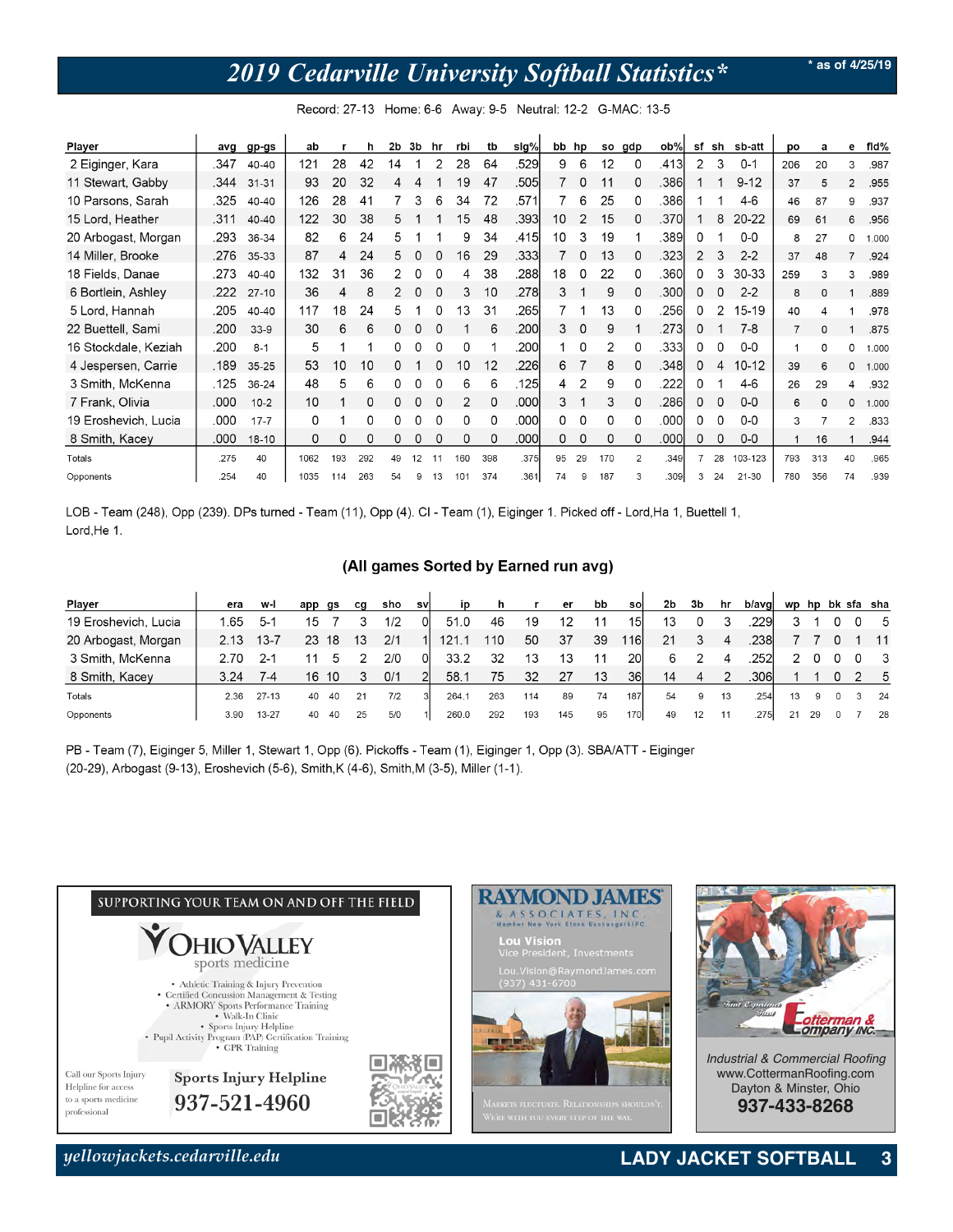# *2019 Cedarville University Softball Statistics\**

**\* as of 4/25/19**

| Player               | avg  | gp-gs     | ab   |     | h   | 2b | 3b | hr           | rbi | tb           | sig%  | bb hp |    |     | so gdp         | $ob\%$ | sf | sh | sb-att    | po             | a        | е              | fid%  |
|----------------------|------|-----------|------|-----|-----|----|----|--------------|-----|--------------|-------|-------|----|-----|----------------|--------|----|----|-----------|----------------|----------|----------------|-------|
| 2 Eiginger, Kara     | .347 | 40-40     | 121  | 28  | 42  | 14 |    |              | 28  | 64           | .529  | 9     | 6  | 12  | 0              | .413   | 2  | 3  | $0 - 1$   | 206            | 20       | 3              | .987  |
| 11 Stewart, Gabby    | .344 | $31 - 31$ | 93   | 20  | 32  | 4  |    |              | 19  | 47           | .505  |       | 0  | 11  | 0              | .386   |    |    | $9 - 12$  | 37             | 5        | $\overline{2}$ | .955  |
| 10 Parsons, Sarah    | .325 | 40-40     | 126  | 28  | 41  |    | 3  | 6            | 34  | 72           | .571  |       | 6  | 25  | $\Omega$       | .3861  |    |    | 4-6       | 46             | 87       | 9              | .937  |
| 15 Lord, Heather     | .311 | 40-40     | 122  | 30  | 38  | 5  |    |              | 15  | 48           | .3931 | 10    | 2  | 15  | 0              | .370   |    | 8  | 20-22     | 69             | 61       | 6              | .956  |
| 20 Arbogast, Morgan  | .293 | 36-34     | 82   | 6   | 24  | 5  |    |              | 9   | 34           | .415l | 10    | 3  | 19  |                | .389   | 0  |    | $0-0$     | 8              | 27       | 0              | 1.000 |
| 14 Miller, Brooke    | .276 | 35-33     | 87   | 4   | 24  | 5. |    |              | 16  | 29           | .3331 |       | 0  | 13  | 0              | .323   | 2  | 3  | $2 - 2$   | 37             | 48       | 7              | .924  |
| 18 Fields, Danae     | .273 | 40-40     | 132  | 31  | 36  |    |    |              |     | 38           | .288  | 18    | 0  | 22  | $\Omega$       | .360   | 0  | 3  | 30-33     | 259            | 3        | 3              | .989  |
| 6 Bortlein, Ashley   | .222 | $27-10$   | 36   | 4   | 8   | 2  |    | $\Omega$     | 3   | 10           | .278l | 3     |    | 9   | $\Omega$       | .300   | 0  | 0  | $2 - 2$   | 8              | $\Omega$ |                | .889  |
| 5 Lord, Hannah       | .205 | 40-40     | 117  | 18  | 24  | 5. |    | <sup>0</sup> | 13  | 31           | .265l |       |    | 13  | 0              | .256   | 0  | 2  | 15-19     | 40             | 4        |                | .978  |
| 22 Buettell, Sami    | .200 | $33-9$    | 30   | 6   | 6   | 0  | 0  | 0            |     | 6            | .200  | 3     | 0  | 9   |                | .273   | 0  |    | $7 - 8$   | $\overline{7}$ | $\Omega$ |                | .875  |
| 16 Stockdale, Keziah | .200 | $8 - 1$   | 5    |     |     | 0  |    | 0            | 0   |              | .200l |       | 0  | 2   | 0              | .333   | 0  | 0  | $O-O$     |                | 0        | 0              | 1.000 |
| 4 Jespersen, Carrie  | .189 | $35 - 25$ | 53   | 10  | 10  |    |    |              | 10  | 12           | .226  | 6     |    | 8   | 0              | .348   | 0  | 4  | $10-12$   | 39             | 6        | 0              | 1.000 |
| 3 Smith, McKenna     | .125 | 36-24     | 48   | 5   | 6   | n  |    |              | 6   | 6            | .125  | 4     | 2  | 9   | 0              | .222   | 0  |    | 4-6       | 26             | 29       | 4              | .932  |
| 7 Frank, Olivia      | .000 | $10-2$    | 10   |     | 0   | 0  |    |              | 2   | $\Omega$     | .000l | 3     |    | 3   | 0              | .286   | 0  | 0  | $0-0$     | 6              | $\Omega$ | 0              | 1.000 |
| 19 Eroshevich, Lucia | .000 | $17 - 7$  | 0    |     | 0   | n  |    | 0            | 0   | <sup>0</sup> | .000l | 0     | 0  | 0   | <sup>0</sup>   | .000   | 0  | 0  | $0-0$     | 3              |          | $\overline{2}$ | .833  |
| 8 Smith, Kacey       | .000 | $18 - 10$ | 0    | 0   | 0   | 0  |    | 0            | 0   | 0            | .000l | 0     | 0  | 0   | $\Omega$       | .000   | 0  | 0  | $0-0$     |                | 16       |                | .944  |
| Totals               | .275 | 40        | 1062 | 193 | 292 | 49 | 12 |              | 160 | 398          | .375  | 95    | 29 | 170 | $\overline{2}$ | .349   |    | 28 | 103-123   | 793            | 313      | 40             | .965  |
| Opponents            | .254 | 40        | 1035 | 114 | 263 | 54 |    | 13           | 101 | 374          | .361  | 74    |    | 187 | 3              | .309   | 3  | 24 | $21 - 30$ | 780            | 356      | 74             | .939  |

Record: 27-13 Home: 6-6 Away: 9-5 Neutral: 12-2 G-MAC: 13-5

LOB - Team (248), Opp (239). DPs turned - Team (11), Opp (4). CI - Team (1), Eiginger 1. Picked off - Lord, Ha 1, Buettell 1, Lord, He 1.

#### (All games Sorted by Earned run avg)

| Player               | era  | w-l      | app | gs | cg | sho | svl | in    | h   |     | er  | bb | sol        | 2 <sub>b</sub> | 3b | hr             | b/avgl | wp | hp |  | bk sfa sha              |
|----------------------|------|----------|-----|----|----|-----|-----|-------|-----|-----|-----|----|------------|----------------|----|----------------|--------|----|----|--|-------------------------|
| 19 Eroshevich, Lucia | .65  | $5-1$    | 15  |    |    | 1/2 |     | 51.0  | 46  | 19  |     |    | 151        | 13             |    |                | 229    |    |    |  | - 5                     |
| 20 Arbogast, Morgan  |      | $13 - 7$ | 23  | 18 |    | 2/1 |     | 121.  | 110 | 50  | 37  | 39 | 116l       | 21             |    | $\overline{a}$ | .238   |    |    |  | $-11$                   |
| 3 Smith, McKenna     |      | $2 - 1$  |     |    |    | 2/0 |     | 33.2  | 32  | 13  | 13  |    | <b>20</b>  | 6              |    | 4              | 252    |    |    |  | $\overline{\mathbf{3}}$ |
| 8 Smith, Kacey       | 3.24 | 7-4      | 16  | 10 |    | 0/1 |     | 58.1  | 75  | 32  | 27  | 13 | <b>36</b>  | 14             |    |                | .3061  |    |    |  | - 5                     |
| Totals               | 2.36 | 27-13    | 40  | 40 | 21 | 7/2 | 3   | 264.1 | 263 | 114 | 89  | 74 | 187        | 54             | 9  | 13             | .254   | 13 | 9  |  | 24                      |
| Opponents            | 3.90 | 13-27    | 40  | 40 | 25 | 5/0 | 1I  | 260.0 | 292 | 193 | 145 | 95 | <b>170</b> | 49             | 12 | 11             | .2751  | 21 | 29 |  | - 28                    |

PB - Team (7), Eiginger 5, Miller 1, Stewart 1, Opp (6). Pickoffs - Team (1), Eiginger 1, Opp (3). SBA/ATT - Eiginger (20-29), Arbogast (9-13), Eroshevich (5-6), Smith, K (4-6), Smith, M (3-5), Miller (1-1).